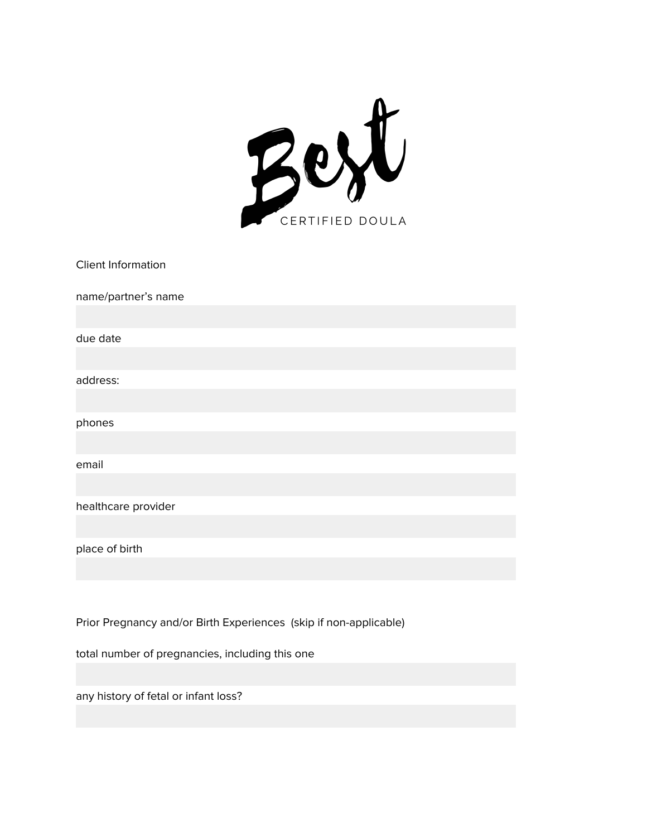

| Client Information  |
|---------------------|
| name/partner's name |
|                     |
| due date            |
|                     |
| address:            |
|                     |
| phones              |
|                     |
| email               |
|                     |
| healthcare provider |
|                     |
| place of birth      |
|                     |
|                     |

Prior Pregnancy and/or Birth Experiences (skip if non-applicable)

total number of pregnancies, including this one

any history of fetal or infant loss?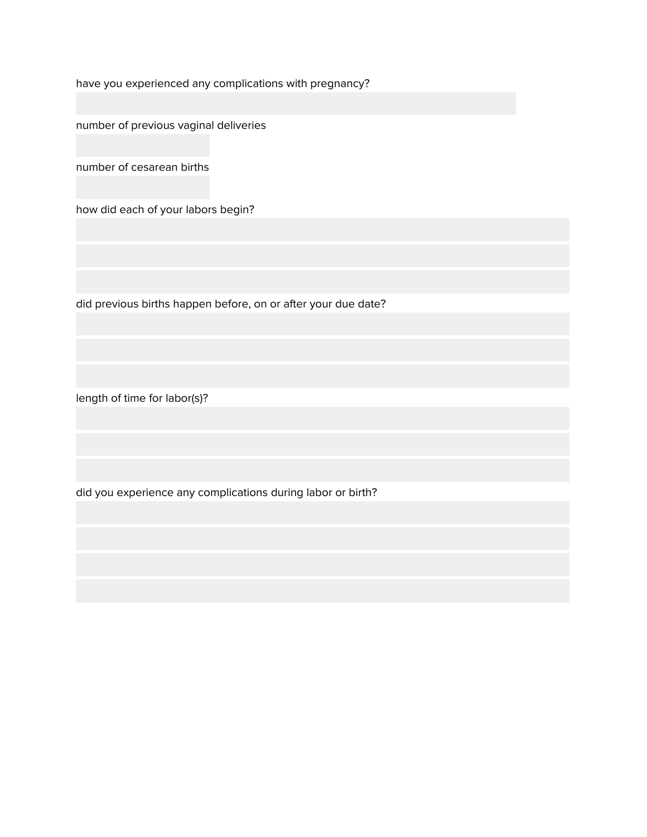have you experienced any complications with pregnancy?

number of previous vaginal deliveries

number of cesarean births

how did each of your labors begin?

did previous births happen before, on or after your due date?

length of time for labor(s)?

did you experience any complications during labor or birth?